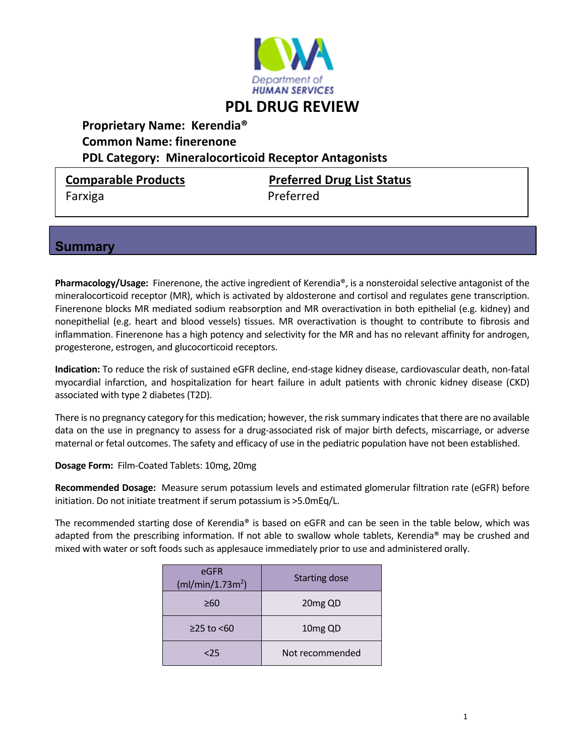

# **PDL DRUG REVIEW**

### **Proprietary Name: Kerendia® Common Name: finerenone PDL Category: Mineralocorticoid Receptor Antagonists**

#### **Comparable Products Preferred Drug List Status**

Farxiga 
Breferred

#### **Summary**

**Pharmacology/Usage:** Finerenone, the active ingredient of Kerendia®, is a nonsteroidal selective antagonist of the mineralocorticoid receptor (MR), which is activated by aldosterone and cortisol and regulates gene transcription. Finerenone blocks MR mediated sodium reabsorption and MR overactivation in both epithelial (e.g. kidney) and nonepithelial (e.g. heart and blood vessels) tissues. MR overactivation is thought to contribute to fibrosis and inflammation. Finerenone has a high potency and selectivity for the MR and has no relevant affinity for androgen, progesterone, estrogen, and glucocorticoid receptors.

**Indication:** To reduce the risk of sustained eGFR decline, end‐stage kidney disease, cardiovascular death, non‐fatal myocardial infarction, and hospitalization for heart failure in adult patients with chronic kidney disease (CKD) associated with type 2 diabetes (T2D).

There is no pregnancy category for this medication; however, the risk summary indicatesthat there are no available data on the use in pregnancy to assess for a drug-associated risk of major birth defects, miscarriage, or adverse maternal or fetal outcomes. The safety and efficacy of use in the pediatric population have not been established.

**Dosage Form:** Film‐Coated Tablets: 10mg, 20mg

**Recommended Dosage:** Measure serum potassium levels and estimated glomerular filtration rate (eGFR) before initiation. Do not initiate treatment if serum potassium is >5.0mEq/L.

The recommended starting dose of Kerendia® is based on eGFR and can be seen in the table below, which was adapted from the prescribing information. If not able to swallow whole tablets, Kerendia® may be crushed and mixed with water or soft foods such as applesauce immediately prior to use and administered orally.

| eGFR<br>(mI/min/1.73m <sup>2</sup> ) | <b>Starting dose</b>            |  |  |
|--------------------------------------|---------------------------------|--|--|
| $\geq 60$                            | 20 <sub>mg</sub> Q <sub>D</sub> |  |  |
| $≥25$ to $≤60$                       | 10mg QD                         |  |  |
| $<$ 25                               | Not recommended                 |  |  |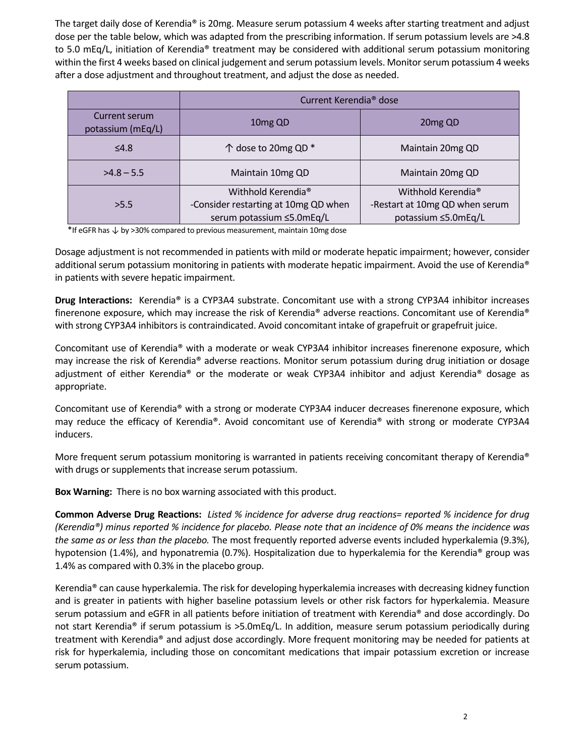The target daily dose of Kerendia® is 20mg. Measure serum potassium 4 weeks after starting treatment and adjust dose per the table below, which was adapted from the prescribing information. If serum potassium levels are >4.8 to 5.0 mEq/L, initiation of Kerendia® treatment may be considered with additional serum potassium monitoring within the first 4 weeks based on clinical judgement and serum potassium levels. Monitor serum potassium 4 weeks after a dose adjustment and throughout treatment, and adjust the dose as needed.

|                                    | Current Kerendia <sup>®</sup> dose                                                                  |                                                                                         |  |  |
|------------------------------------|-----------------------------------------------------------------------------------------------------|-----------------------------------------------------------------------------------------|--|--|
| Current serum<br>potassium (mEq/L) | 10 <sub>mg</sub> Q <sub>D</sub>                                                                     | 20mg QD                                                                                 |  |  |
| 54.8                               | $\uparrow$ dose to 20mg QD *                                                                        | Maintain 20mg QD                                                                        |  |  |
| $>4.8 - 5.5$                       | Maintain 10mg QD                                                                                    | Maintain 20mg QD                                                                        |  |  |
| >5.5                               | Withhold Kerendia <sup>®</sup><br>-Consider restarting at 10mg QD when<br>serum potassium ≤5.0mEq/L | Withhold Kerendia <sup>®</sup><br>-Restart at 10mg QD when serum<br>potassium ≤5.0mEq/L |  |  |

\*If eGFR has ↓ by >30% compared to previous measurement, maintain 10mg dose

Dosage adjustment is not recommended in patients with mild or moderate hepatic impairment; however, consider additional serum potassium monitoring in patients with moderate hepatic impairment. Avoid the use of Kerendia® in patients with severe hepatic impairment.

**Drug Interactions:** Kerendia® is a CYP3A4 substrate. Concomitant use with a strong CYP3A4 inhibitor increases finerenone exposure, which may increase the risk of Kerendia® adverse reactions. Concomitant use of Kerendia® with strong CYP3A4 inhibitors is contraindicated. Avoid concomitant intake of grapefruit or grapefruit juice.

Concomitant use of Kerendia® with a moderate or weak CYP3A4 inhibitor increases finerenone exposure, which may increase the risk of Kerendia® adverse reactions. Monitor serum potassium during drug initiation or dosage adjustment of either Kerendia® or the moderate or weak CYP3A4 inhibitor and adjust Kerendia® dosage as appropriate.

Concomitant use of Kerendia® with a strong or moderate CYP3A4 inducer decreases finerenone exposure, which may reduce the efficacy of Kerendia®. Avoid concomitant use of Kerendia® with strong or moderate CYP3A4 inducers.

More frequent serum potassium monitoring is warranted in patients receiving concomitant therapy of Kerendia<sup>®</sup> with drugs or supplements that increase serum potassium.

**Box Warning:** There is no box warning associated with this product.

Common Adverse Drug Reactions: Listed % incidence for adverse drug reactions= reported % incidence for drug (Kerendia®) minus reported % incidence for placebo. Please note that an incidence of 0% means the incidence was *the same as or less than the placebo.* The most frequently reported adverse events included hyperkalemia (9.3%), hypotension (1.4%), and hyponatremia (0.7%). Hospitalization due to hyperkalemia for the Kerendia® group was 1.4% as compared with 0.3% in the placebo group.

Kerendia® can cause hyperkalemia. The risk for developing hyperkalemia increases with decreasing kidney function and is greater in patients with higher baseline potassium levels or other risk factors for hyperkalemia. Measure serum potassium and eGFR in all patients before initiation of treatment with Kerendia® and dose accordingly. Do not start Kerendia® if serum potassium is >5.0mEq/L. In addition, measure serum potassium periodically during treatment with Kerendia® and adjust dose accordingly. More frequent monitoring may be needed for patients at risk for hyperkalemia, including those on concomitant medications that impair potassium excretion or increase serum potassium.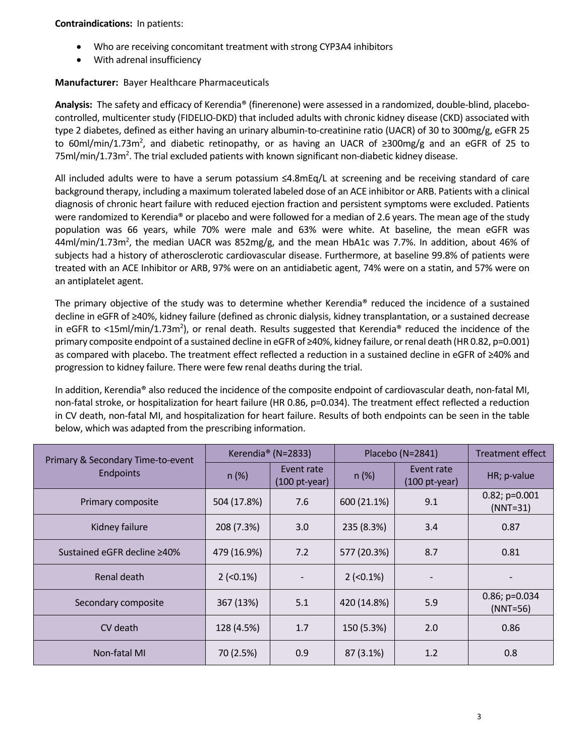**Contraindications:** In patients:

- Who are receiving concomitant treatment with strong CYP3A4 inhibitors
- With adrenal insufficiency

#### **Manufacturer:** Bayer Healthcare Pharmaceuticals

Analysis: The safety and efficacy of Kerendia<sup>®</sup> (finerenone) were assessed in a randomized, double-blind, placebocontrolled, multicenter study (FIDELIO‐DKD) that included adults with chronic kidney disease (CKD) associated with type 2 diabetes, defined as either having an urinary albumin-to-creatinine ratio (UACR) of 30 to 300mg/g, eGFR 25 to 60ml/min/1.73m<sup>2</sup>, and diabetic retinopathy, or as having an UACR of ≥300mg/g and an eGFR of 25 to 75ml/min/1.73m<sup>2</sup>. The trial excluded patients with known significant non-diabetic kidney disease.

All included adults were to have a serum potassium ≤4.8mEq/L at screening and be receiving standard of care background therapy, including a maximum tolerated labeled dose of an ACE inhibitor or ARB. Patients with a clinical diagnosis of chronic heart failure with reduced ejection fraction and persistent symptoms were excluded. Patients were randomized to Kerendia® or placebo and were followed for a median of 2.6 years. The mean age of the study population was 66 years, while 70% were male and 63% were white. At baseline, the mean eGFR was  $44$ ml/min/1.73m<sup>2</sup>, the median UACR was 852mg/g, and the mean HbA1c was 7.7%. In addition, about 46% of subjects had a history of atherosclerotic cardiovascular disease. Furthermore, at baseline 99.8% of patients were treated with an ACE Inhibitor or ARB, 97% were on an antidiabetic agent, 74% were on a statin, and 57% were on an antiplatelet agent.

The primary objective of the study was to determine whether Kerendia® reduced the incidence of a sustained decline in eGFR of ≥40%, kidney failure (defined as chronic dialysis, kidney transplantation, or a sustained decrease in eGFR to <15ml/min/1.73m<sup>2</sup>), or renal death. Results suggested that Kerendia® reduced the incidence of the primary composite endpoint of a sustained decline in eGFR of ≥40%, kidney failure, orrenal death (HR 0.82, p=0.001) as compared with placebo. The treatment effect reflected a reduction in a sustained decline in eGFR of ≥40% and progression to kidney failure. There were few renal deaths during the trial.

In addition, Kerendia® also reduced the incidence of the composite endpoint of cardiovascular death, non‐fatal MI, non‐fatal stroke, or hospitalization for heart failure (HR 0.86, p=0.034). The treatment effect reflected a reduction in CV death, non‐fatal MI, and hospitalization for heart failure. Results of both endpoints can be seen in the table below, which was adapted from the prescribing information.

| Primary & Secondary Time-to-event<br><b>Endpoints</b> | Kerendia <sup>®</sup> (N=2833) |                               | Placebo (N=2841) |                               | <b>Treatment effect</b>       |
|-------------------------------------------------------|--------------------------------|-------------------------------|------------------|-------------------------------|-------------------------------|
|                                                       | $n$ (%)                        | Event rate<br>$(100 pt-year)$ | $n (\%)$         | Event rate<br>$(100 pt-year)$ | HR; p-value                   |
| Primary composite                                     | 504 (17.8%)                    | 7.6                           | 600 (21.1%)      | 9.1                           | $0.82; p=0.001$<br>$(NNT=31)$ |
| Kidney failure                                        | 208 (7.3%)                     | 3.0                           | 235 (8.3%)       | 3.4                           | 0.87                          |
| Sustained eGFR decline ≥40%                           | 479 (16.9%)                    | 7.2                           | 577 (20.3%)      | 8.7                           | 0.81                          |
| Renal death                                           | $2 (-0.1\%)$                   |                               | $2 (-0.1\%)$     |                               |                               |
| Secondary composite                                   | 367 (13%)                      | 5.1                           | 420 (14.8%)      | 5.9                           | $0.86; p=0.034$<br>$(NNT=56)$ |
| CV death                                              | 128 (4.5%)                     | 1.7                           | 150 (5.3%)       | 2.0                           | 0.86                          |
| Non-fatal MI                                          | 70 (2.5%)                      | 0.9                           | 87 (3.1%)        | 1.2                           | 0.8                           |